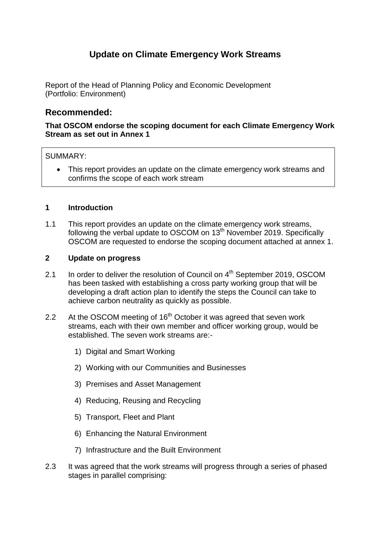### **Update on Climate Emergency Work Streams**

Report of the Head of Planning Policy and Economic Development (Portfolio: Environment)

### **Recommended:**

### **That OSCOM endorse the scoping document for each Climate Emergency Work Stream as set out in Annex 1**

### SUMMARY:

• This report provides an update on the climate emergency work streams and confirms the scope of each work stream

### **1 Introduction**

1.1 This report provides an update on the climate emergency work streams, following the verbal update to OSCOM on 13<sup>th</sup> November 2019. Specifically OSCOM are requested to endorse the scoping document attached at annex 1.

### **2 Update on progress**

- 2.1 In order to deliver the resolution of Council on 4<sup>th</sup> September 2019, OSCOM has been tasked with establishing a cross party working group that will be developing a draft action plan to identify the steps the Council can take to achieve carbon neutrality as quickly as possible.
- 2.2 At the OSCOM meeting of 16<sup>th</sup> October it was agreed that seven work streams, each with their own member and officer working group, would be established. The seven work streams are:-
	- 1) Digital and Smart Working
	- 2) Working with our Communities and Businesses
	- 3) Premises and Asset Management
	- 4) Reducing, Reusing and Recycling
	- 5) Transport, Fleet and Plant
	- 6) Enhancing the Natural Environment
	- 7) Infrastructure and the Built Environment
- 2.3 It was agreed that the work streams will progress through a series of phased stages in parallel comprising: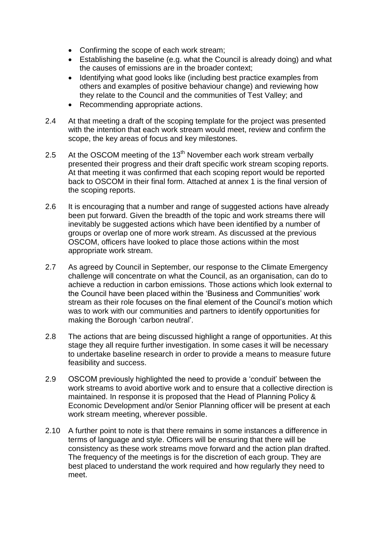- Confirming the scope of each work stream;
- Establishing the baseline (e.g. what the Council is already doing) and what the causes of emissions are in the broader context;
- Identifying what good looks like (including best practice examples from others and examples of positive behaviour change) and reviewing how they relate to the Council and the communities of Test Valley; and
- Recommending appropriate actions.
- 2.4 At that meeting a draft of the scoping template for the project was presented with the intention that each work stream would meet, review and confirm the scope, the key areas of focus and key milestones.
- 2.5 At the OSCOM meeting of the  $13<sup>th</sup>$  November each work stream verbally presented their progress and their draft specific work stream scoping reports. At that meeting it was confirmed that each scoping report would be reported back to OSCOM in their final form. Attached at annex 1 is the final version of the scoping reports.
- 2.6 It is encouraging that a number and range of suggested actions have already been put forward. Given the breadth of the topic and work streams there will inevitably be suggested actions which have been identified by a number of groups or overlap one of more work stream. As discussed at the previous OSCOM, officers have looked to place those actions within the most appropriate work stream.
- 2.7 As agreed by Council in September, our response to the Climate Emergency challenge will concentrate on what the Council, as an organisation, can do to achieve a reduction in carbon emissions. Those actions which look external to the Council have been placed within the 'Business and Communities' work stream as their role focuses on the final element of the Council's motion which was to work with our communities and partners to identify opportunities for making the Borough 'carbon neutral'.
- 2.8 The actions that are being discussed highlight a range of opportunities. At this stage they all require further investigation. In some cases it will be necessary to undertake baseline research in order to provide a means to measure future feasibility and success.
- 2.9 OSCOM previously highlighted the need to provide a 'conduit' between the work streams to avoid abortive work and to ensure that a collective direction is maintained. In response it is proposed that the Head of Planning Policy & Economic Development and/or Senior Planning officer will be present at each work stream meeting, wherever possible.
- 2.10 A further point to note is that there remains in some instances a difference in terms of language and style. Officers will be ensuring that there will be consistency as these work streams move forward and the action plan drafted. The frequency of the meetings is for the discretion of each group. They are best placed to understand the work required and how regularly they need to meet.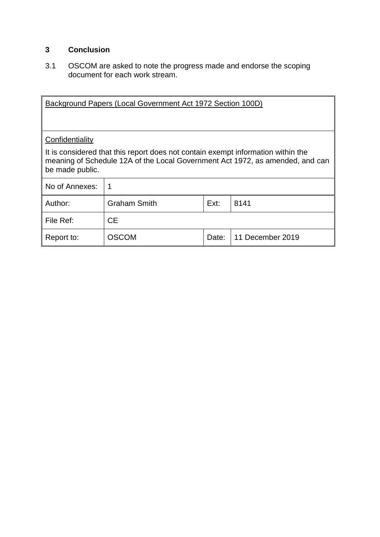### **3 Conclusion**

3.1 OSCOM are asked to note the progress made and endorse the scoping document for each work stream.

| Background Papers (Local Government Act 1972 Section 100D)                                                                                                                           |                                     |  |  |  |
|--------------------------------------------------------------------------------------------------------------------------------------------------------------------------------------|-------------------------------------|--|--|--|
| Confidentiality                                                                                                                                                                      |                                     |  |  |  |
| It is considered that this report does not contain exempt information within the<br>meaning of Schedule 12A of the Local Government Act 1972, as amended, and can<br>be made public. |                                     |  |  |  |
| No of Annexes:                                                                                                                                                                       |                                     |  |  |  |
| Author:                                                                                                                                                                              | <b>Graham Smith</b><br>Ext:<br>8141 |  |  |  |
| File Ref:<br><b>CE</b>                                                                                                                                                               |                                     |  |  |  |
| <b>OSCOM</b><br>11 December 2019<br>Report to:<br>Date:                                                                                                                              |                                     |  |  |  |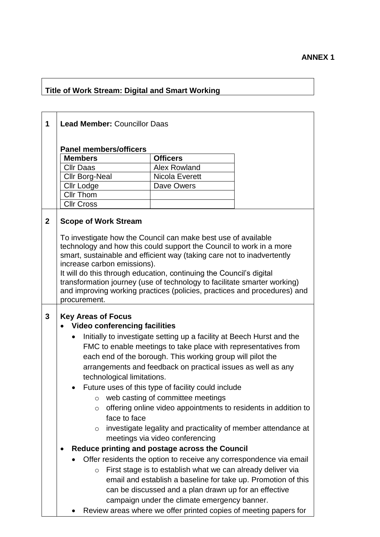## **Title of Work Stream: Digital and Smart Working**

**Allet Combus Areview areas where we offer printed copies of meeting papers for**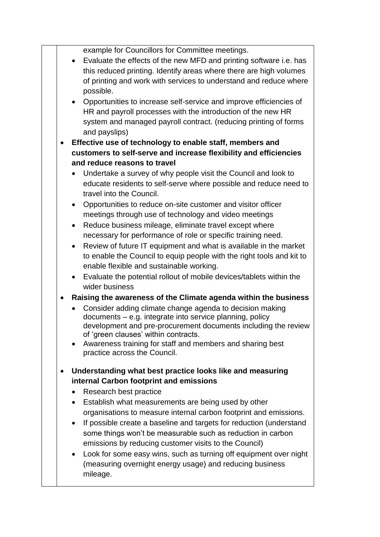example for Councillors for Committee meetings.

- Evaluate the effects of the new MFD and printing software i.e. has this reduced printing. Identify areas where there are high volumes of printing and work with services to understand and reduce where possible.
- Opportunities to increase self-service and improve efficiencies of HR and payroll processes with the introduction of the new HR system and managed payroll contract. (reducing printing of forms and payslips)
- **Effective use of technology to enable staff, members and customers to self-serve and increase flexibility and efficiencies and reduce reasons to travel**
	- Undertake a survey of why people visit the Council and look to educate residents to self-serve where possible and reduce need to travel into the Council.
	- Opportunities to reduce on-site customer and visitor officer meetings through use of technology and video meetings
	- Reduce business mileage, eliminate travel except where necessary for performance of role or specific training need.
	- Review of future IT equipment and what is available in the market to enable the Council to equip people with the right tools and kit to enable flexible and sustainable working.
	- Evaluate the potential rollout of mobile devices/tablets within the wider business
- **Raising the awareness of the Climate agenda within the business**
	- Consider adding climate change agenda to decision making documents – e.g. integrate into service planning, policy development and pre-procurement documents including the review of 'green clauses' within contracts.
	- Awareness training for staff and members and sharing best practice across the Council.
- **Understanding what best practice looks like and measuring internal Carbon footprint and emissions**
	- Research best practice
	- Establish what measurements are being used by other organisations to measure internal carbon footprint and emissions.
	- If possible create a baseline and targets for reduction (understand some things won't be measurable such as reduction in carbon emissions by reducing customer visits to the Council)
	- Look for some easy wins, such as turning off equipment over night (measuring overnight energy usage) and reducing business mileage.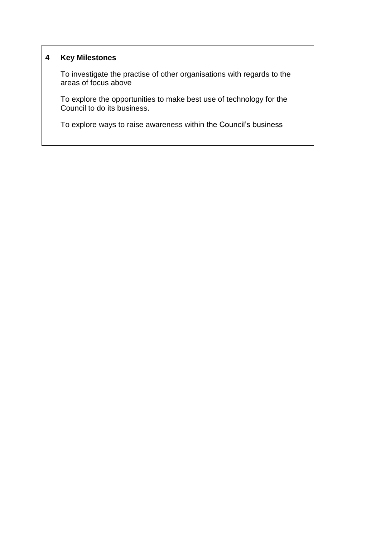|                                                                                                    | <b>Key Milestones</b>                                                                          |
|----------------------------------------------------------------------------------------------------|------------------------------------------------------------------------------------------------|
|                                                                                                    | To investigate the practise of other organisations with regards to the<br>areas of focus above |
| To explore the opportunities to make best use of technology for the<br>Council to do its business. |                                                                                                |
|                                                                                                    | To explore ways to raise awareness within the Council's business                               |
|                                                                                                    |                                                                                                |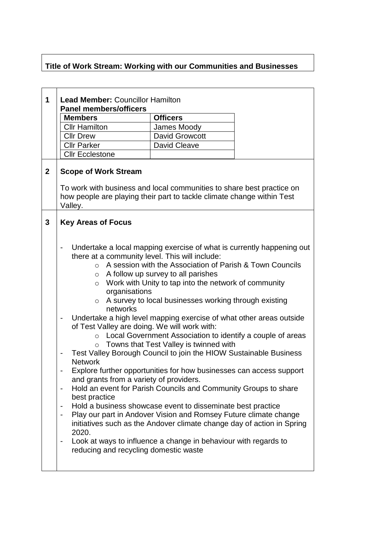# **Title of Work Stream: Working with our Communities and Businesses**

| 1            | <b>Lead Member: Councillor Hamilton</b><br><b>Panel members/officers</b>                                                                                                                                                                                                                                                             |                                                                                                                                                                                                                                                                                                                                                                                                                                                                                                                                                                                                                                                                                                                                                                                                                                                                                                                                                                                |  |
|--------------|--------------------------------------------------------------------------------------------------------------------------------------------------------------------------------------------------------------------------------------------------------------------------------------------------------------------------------------|--------------------------------------------------------------------------------------------------------------------------------------------------------------------------------------------------------------------------------------------------------------------------------------------------------------------------------------------------------------------------------------------------------------------------------------------------------------------------------------------------------------------------------------------------------------------------------------------------------------------------------------------------------------------------------------------------------------------------------------------------------------------------------------------------------------------------------------------------------------------------------------------------------------------------------------------------------------------------------|--|
|              | <b>Members</b>                                                                                                                                                                                                                                                                                                                       | <b>Officers</b>                                                                                                                                                                                                                                                                                                                                                                                                                                                                                                                                                                                                                                                                                                                                                                                                                                                                                                                                                                |  |
|              | <b>Cllr Hamilton</b>                                                                                                                                                                                                                                                                                                                 | James Moody                                                                                                                                                                                                                                                                                                                                                                                                                                                                                                                                                                                                                                                                                                                                                                                                                                                                                                                                                                    |  |
|              | <b>Cllr Drew</b>                                                                                                                                                                                                                                                                                                                     | David Growcott                                                                                                                                                                                                                                                                                                                                                                                                                                                                                                                                                                                                                                                                                                                                                                                                                                                                                                                                                                 |  |
|              | <b>Cllr Parker</b>                                                                                                                                                                                                                                                                                                                   | <b>David Cleave</b>                                                                                                                                                                                                                                                                                                                                                                                                                                                                                                                                                                                                                                                                                                                                                                                                                                                                                                                                                            |  |
|              | <b>Cllr Ecclestone</b>                                                                                                                                                                                                                                                                                                               |                                                                                                                                                                                                                                                                                                                                                                                                                                                                                                                                                                                                                                                                                                                                                                                                                                                                                                                                                                                |  |
| $\mathbf{2}$ | <b>Scope of Work Stream</b><br>To work with business and local communities to share best practice on<br>how people are playing their part to tackle climate change within Test<br>Valley.                                                                                                                                            |                                                                                                                                                                                                                                                                                                                                                                                                                                                                                                                                                                                                                                                                                                                                                                                                                                                                                                                                                                                |  |
| 3            | <b>Key Areas of Focus</b>                                                                                                                                                                                                                                                                                                            |                                                                                                                                                                                                                                                                                                                                                                                                                                                                                                                                                                                                                                                                                                                                                                                                                                                                                                                                                                                |  |
|              | $\overline{a}$<br>there at a community level. This will include:<br>$\circ$<br>$\circ$<br>$\circ$<br>organisations<br>$\circ$<br>networks<br>of Test Valley are doing. We will work with:<br>$\circ$<br><b>Network</b><br>and grants from a variety of providers.<br>best practice<br>2020.<br>reducing and recycling domestic waste | Undertake a local mapping exercise of what is currently happening out<br>A session with the Association of Parish & Town Councils<br>A follow up survey to all parishes<br>Work with Unity to tap into the network of community<br>A survey to local businesses working through existing<br>Undertake a high level mapping exercise of what other areas outside<br>Local Government Association to identify a couple of areas<br>$\circ$ Towns that Test Valley is twinned with<br>Test Valley Borough Council to join the HIOW Sustainable Business<br>Explore further opportunities for how businesses can access support<br>Hold an event for Parish Councils and Community Groups to share<br>Hold a business showcase event to disseminate best practice<br>Play our part in Andover Vision and Romsey Future climate change<br>initiatives such as the Andover climate change day of action in Spring<br>Look at ways to influence a change in behaviour with regards to |  |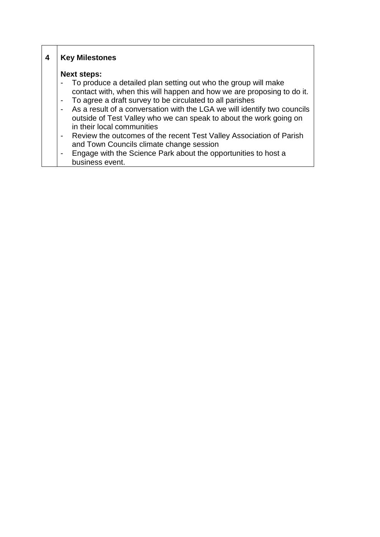| 4 | <b>Key Milestones</b>                                                                                                                                                                                                                                                                                                                                                                                                                                                                                                                                                                                                                                                                                                                |
|---|--------------------------------------------------------------------------------------------------------------------------------------------------------------------------------------------------------------------------------------------------------------------------------------------------------------------------------------------------------------------------------------------------------------------------------------------------------------------------------------------------------------------------------------------------------------------------------------------------------------------------------------------------------------------------------------------------------------------------------------|
|   | <b>Next steps:</b><br>To produce a detailed plan setting out who the group will make<br>$\qquad \qquad \blacksquare$<br>contact with, when this will happen and how we are proposing to do it.<br>To agree a draft survey to be circulated to all parishes<br>$\blacksquare$<br>As a result of a conversation with the LGA we will identify two councils<br>$\blacksquare$<br>outside of Test Valley who we can speak to about the work going on<br>in their local communities<br>Review the outcomes of the recent Test Valley Association of Parish<br>$\blacksquare$<br>and Town Councils climate change session<br>Engage with the Science Park about the opportunities to host a<br>$\overline{\phantom{a}}$<br>business event. |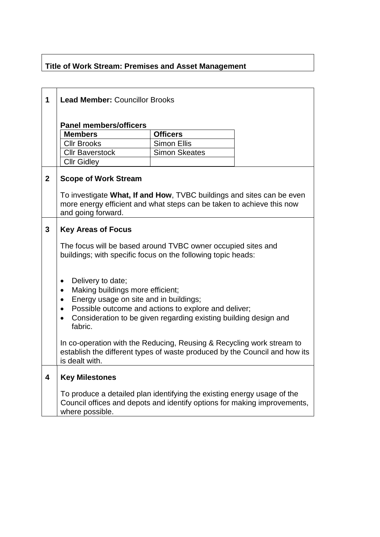## **Title of Work Stream: Premises and Asset Management**

r

| 1                       | <b>Lead Member: Councillor Brooks</b>                                                                                                                                       |                                                                                                                          |  |
|-------------------------|-----------------------------------------------------------------------------------------------------------------------------------------------------------------------------|--------------------------------------------------------------------------------------------------------------------------|--|
|                         |                                                                                                                                                                             |                                                                                                                          |  |
|                         | <b>Panel members/officers</b><br><b>Members</b>                                                                                                                             | <b>Officers</b>                                                                                                          |  |
|                         | <b>Cllr Brooks</b>                                                                                                                                                          | <b>Simon Ellis</b>                                                                                                       |  |
|                         | <b>Cllr Baverstock</b>                                                                                                                                                      | <b>Simon Skeates</b>                                                                                                     |  |
|                         | <b>Cllr Gidley</b>                                                                                                                                                          |                                                                                                                          |  |
| $\overline{2}$          | <b>Scope of Work Stream</b>                                                                                                                                                 |                                                                                                                          |  |
|                         | To investigate What, If and How, TVBC buildings and sites can be even<br>more energy efficient and what steps can be taken to achieve this now<br>and going forward.        |                                                                                                                          |  |
| 3                       | <b>Key Areas of Focus</b>                                                                                                                                                   |                                                                                                                          |  |
|                         | The focus will be based around TVBC owner occupied sites and<br>buildings; with specific focus on the following topic heads:                                                |                                                                                                                          |  |
|                         | Delivery to date;<br>$\bullet$<br>Making buildings more efficient;<br>$\bullet$<br>Energy usage on site and in buildings;<br>$\bullet$<br>$\bullet$<br>$\bullet$<br>fabric. | Possible outcome and actions to explore and deliver;<br>Consideration to be given regarding existing building design and |  |
|                         | In co-operation with the Reducing, Reusing & Recycling work stream to<br>establish the different types of waste produced by the Council and how its<br>is dealt with.       |                                                                                                                          |  |
| $\overline{\mathbf{4}}$ | <b>Key Milestones</b>                                                                                                                                                       |                                                                                                                          |  |
|                         | To produce a detailed plan identifying the existing energy usage of the<br>Council offices and depots and identify options for making improvements,<br>where possible.      |                                                                                                                          |  |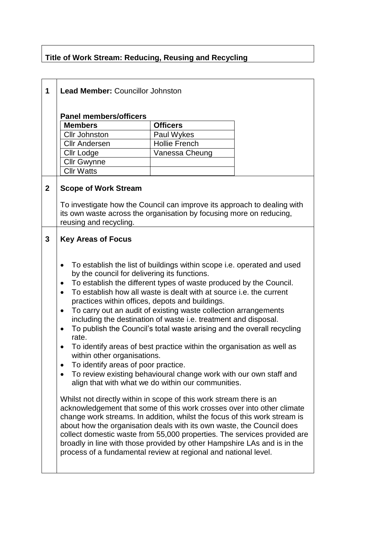# **Title of Work Stream: Reducing, Reusing and Recycling**

| 1           | <b>Lead Member: Councillor Johnston</b>                                                                                                                                                                                                                                                                                                                                                                                                                                                                                                                                                                                                                                                                                                                                               |                                                                                                                                                                                                                                                                                                                                                                                                                                                                                                                                                                                                                                         |  |
|-------------|---------------------------------------------------------------------------------------------------------------------------------------------------------------------------------------------------------------------------------------------------------------------------------------------------------------------------------------------------------------------------------------------------------------------------------------------------------------------------------------------------------------------------------------------------------------------------------------------------------------------------------------------------------------------------------------------------------------------------------------------------------------------------------------|-----------------------------------------------------------------------------------------------------------------------------------------------------------------------------------------------------------------------------------------------------------------------------------------------------------------------------------------------------------------------------------------------------------------------------------------------------------------------------------------------------------------------------------------------------------------------------------------------------------------------------------------|--|
|             | <b>Panel members/officers</b>                                                                                                                                                                                                                                                                                                                                                                                                                                                                                                                                                                                                                                                                                                                                                         |                                                                                                                                                                                                                                                                                                                                                                                                                                                                                                                                                                                                                                         |  |
|             | <b>Members</b>                                                                                                                                                                                                                                                                                                                                                                                                                                                                                                                                                                                                                                                                                                                                                                        | <b>Officers</b>                                                                                                                                                                                                                                                                                                                                                                                                                                                                                                                                                                                                                         |  |
|             | <b>Cllr Johnston</b>                                                                                                                                                                                                                                                                                                                                                                                                                                                                                                                                                                                                                                                                                                                                                                  | Paul Wykes                                                                                                                                                                                                                                                                                                                                                                                                                                                                                                                                                                                                                              |  |
|             | <b>Cllr Andersen</b>                                                                                                                                                                                                                                                                                                                                                                                                                                                                                                                                                                                                                                                                                                                                                                  | <b>Hollie French</b>                                                                                                                                                                                                                                                                                                                                                                                                                                                                                                                                                                                                                    |  |
|             | <b>Cllr Lodge</b>                                                                                                                                                                                                                                                                                                                                                                                                                                                                                                                                                                                                                                                                                                                                                                     | Vanessa Cheung                                                                                                                                                                                                                                                                                                                                                                                                                                                                                                                                                                                                                          |  |
|             | <b>Cllr Gwynne</b>                                                                                                                                                                                                                                                                                                                                                                                                                                                                                                                                                                                                                                                                                                                                                                    |                                                                                                                                                                                                                                                                                                                                                                                                                                                                                                                                                                                                                                         |  |
|             | <b>Cllr Watts</b>                                                                                                                                                                                                                                                                                                                                                                                                                                                                                                                                                                                                                                                                                                                                                                     |                                                                                                                                                                                                                                                                                                                                                                                                                                                                                                                                                                                                                                         |  |
| $\mathbf 2$ | <b>Scope of Work Stream</b><br>To investigate how the Council can improve its approach to dealing with<br>its own waste across the organisation by focusing more on reducing,<br>reusing and recycling.                                                                                                                                                                                                                                                                                                                                                                                                                                                                                                                                                                               |                                                                                                                                                                                                                                                                                                                                                                                                                                                                                                                                                                                                                                         |  |
| 3           | <b>Key Areas of Focus</b><br>by the council for delivering its functions.<br>$\bullet$<br>practices within offices, depots and buildings.<br>٠<br>٠<br>rate.<br>$\bullet$<br>within other organisations.<br>To identify areas of poor practice<br>٠<br>Whilst not directly within in scope of this work stream there is an<br>acknowledgement that some of this work crosses over into other climate<br>change work streams. In addition, whilst the focus of this work stream is<br>about how the organisation deals with its own waste, the Council does<br>collect domestic waste from 55,000 properties. The services provided are<br>broadly in line with those provided by other Hampshire LAs and is in the<br>process of a fundamental review at regional and national level. | To establish the list of buildings within scope i.e. operated and used<br>To establish the different types of waste produced by the Council.<br>To establish how all waste is dealt with at source i.e. the current<br>To carry out an audit of existing waste collection arrangements<br>including the destination of waste i.e. treatment and disposal.<br>To publish the Council's total waste arising and the overall recycling<br>To identify areas of best practice within the organisation as well as<br>To review existing behavioural change work with our own staff and<br>align that with what we do within our communities. |  |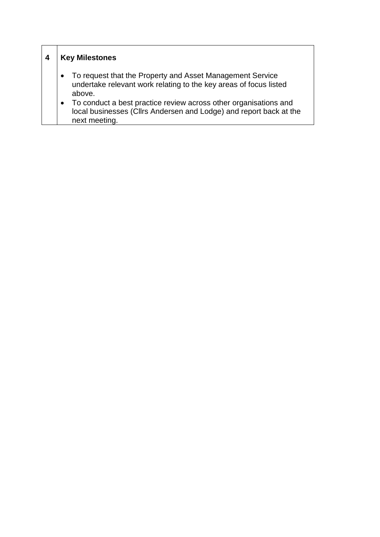| 4 | <b>Key Milestones</b>                                                                                                                                                |
|---|----------------------------------------------------------------------------------------------------------------------------------------------------------------------|
|   | To request that the Property and Asset Management Service<br>$\bullet$<br>undertake relevant work relating to the key areas of focus listed<br>above.                |
|   | To conduct a best practice review across other organisations and<br>$\bullet$<br>local businesses (Cllrs Andersen and Lodge) and report back at the<br>next meeting. |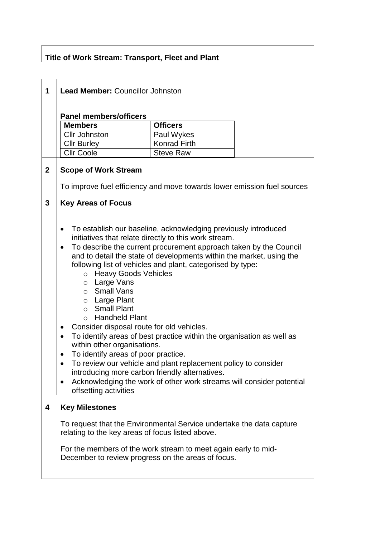# **Title of Work Stream: Transport, Fleet and Plant**

| 1                | <b>Lead Member: Councillor Johnston</b>                                                                                  |                                                                                                                         |  |  |  |
|------------------|--------------------------------------------------------------------------------------------------------------------------|-------------------------------------------------------------------------------------------------------------------------|--|--|--|
|                  |                                                                                                                          |                                                                                                                         |  |  |  |
|                  | <b>Panel members/officers</b>                                                                                            |                                                                                                                         |  |  |  |
|                  | <b>Members</b><br><b>Cllr Johnston</b>                                                                                   | <b>Officers</b><br>Paul Wykes                                                                                           |  |  |  |
|                  |                                                                                                                          | Konrad Firth                                                                                                            |  |  |  |
|                  | <b>Cllr Burley</b><br><b>Cllr Coole</b>                                                                                  | <b>Steve Raw</b>                                                                                                        |  |  |  |
|                  |                                                                                                                          |                                                                                                                         |  |  |  |
| $\boldsymbol{2}$ | <b>Scope of Work Stream</b>                                                                                              |                                                                                                                         |  |  |  |
|                  |                                                                                                                          | To improve fuel efficiency and move towards lower emission fuel sources                                                 |  |  |  |
| $\mathbf{3}$     | <b>Key Areas of Focus</b>                                                                                                |                                                                                                                         |  |  |  |
|                  |                                                                                                                          |                                                                                                                         |  |  |  |
|                  |                                                                                                                          |                                                                                                                         |  |  |  |
|                  |                                                                                                                          | To establish our baseline, acknowledging previously introduced<br>initiatives that relate directly to this work stream. |  |  |  |
|                  |                                                                                                                          | To describe the current procurement approach taken by the Council                                                       |  |  |  |
|                  | ٠                                                                                                                        | and to detail the state of developments within the market, using the                                                    |  |  |  |
|                  |                                                                                                                          | following list of vehicles and plant, categorised by type:                                                              |  |  |  |
|                  | <b>Heavy Goods Vehicles</b><br>O                                                                                         |                                                                                                                         |  |  |  |
|                  | Large Vans<br>$\circ$                                                                                                    |                                                                                                                         |  |  |  |
|                  | ○ Small Vans                                                                                                             |                                                                                                                         |  |  |  |
|                  | Large Plant<br>$\circ$                                                                                                   |                                                                                                                         |  |  |  |
|                  | <b>Small Plant</b><br>$\circ$                                                                                            |                                                                                                                         |  |  |  |
|                  | <b>Handheld Plant</b><br>$\Omega$                                                                                        |                                                                                                                         |  |  |  |
|                  | Consider disposal route for old vehicles.<br>٠                                                                           |                                                                                                                         |  |  |  |
|                  | To identify areas of best practice within the organisation as well as<br>$\bullet$                                       |                                                                                                                         |  |  |  |
|                  | within other organisations.                                                                                              |                                                                                                                         |  |  |  |
|                  | To identify areas of poor practice.                                                                                      |                                                                                                                         |  |  |  |
|                  |                                                                                                                          | To review our vehicle and plant replacement policy to consider                                                          |  |  |  |
|                  | introducing more carbon friendly alternatives.                                                                           |                                                                                                                         |  |  |  |
|                  | $\bullet$<br>offsetting activities                                                                                       | Acknowledging the work of other work streams will consider potential                                                    |  |  |  |
|                  |                                                                                                                          |                                                                                                                         |  |  |  |
| 4                | <b>Key Milestones</b>                                                                                                    |                                                                                                                         |  |  |  |
|                  | To request that the Environmental Service undertake the data capture<br>relating to the key areas of focus listed above. |                                                                                                                         |  |  |  |
|                  |                                                                                                                          |                                                                                                                         |  |  |  |
|                  | For the members of the work stream to meet again early to mid-<br>December to review progress on the areas of focus.     |                                                                                                                         |  |  |  |
|                  |                                                                                                                          |                                                                                                                         |  |  |  |
|                  |                                                                                                                          |                                                                                                                         |  |  |  |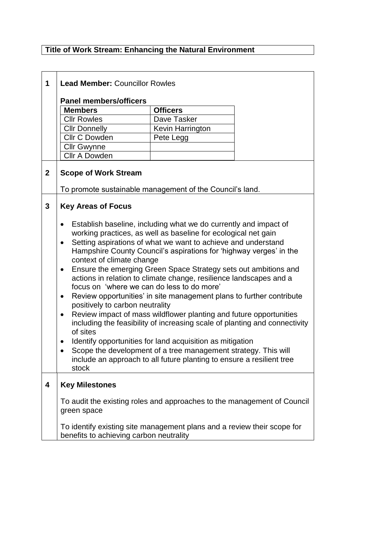## **Title of Work Stream: Enhancing the Natural Environment**

| 1            | <b>Lead Member: Councillor Rowles</b>                                                                                                                                                                                                                                                                                                                                                                                                                                                                                                                                                                                                                                                                                                                                                                                                                                                                                                                                                                                                      |                  |  |
|--------------|--------------------------------------------------------------------------------------------------------------------------------------------------------------------------------------------------------------------------------------------------------------------------------------------------------------------------------------------------------------------------------------------------------------------------------------------------------------------------------------------------------------------------------------------------------------------------------------------------------------------------------------------------------------------------------------------------------------------------------------------------------------------------------------------------------------------------------------------------------------------------------------------------------------------------------------------------------------------------------------------------------------------------------------------|------------------|--|
|              | <b>Panel members/officers</b>                                                                                                                                                                                                                                                                                                                                                                                                                                                                                                                                                                                                                                                                                                                                                                                                                                                                                                                                                                                                              |                  |  |
|              | <b>Members</b>                                                                                                                                                                                                                                                                                                                                                                                                                                                                                                                                                                                                                                                                                                                                                                                                                                                                                                                                                                                                                             | <b>Officers</b>  |  |
|              | <b>CIIr Rowles</b>                                                                                                                                                                                                                                                                                                                                                                                                                                                                                                                                                                                                                                                                                                                                                                                                                                                                                                                                                                                                                         | Dave Tasker      |  |
|              | <b>Cllr Donnelly</b>                                                                                                                                                                                                                                                                                                                                                                                                                                                                                                                                                                                                                                                                                                                                                                                                                                                                                                                                                                                                                       | Kevin Harrington |  |
|              | Cllr C Dowden                                                                                                                                                                                                                                                                                                                                                                                                                                                                                                                                                                                                                                                                                                                                                                                                                                                                                                                                                                                                                              | Pete Legg        |  |
|              | <b>Cllr Gwynne</b>                                                                                                                                                                                                                                                                                                                                                                                                                                                                                                                                                                                                                                                                                                                                                                                                                                                                                                                                                                                                                         |                  |  |
|              | <b>Cllr A Dowden</b>                                                                                                                                                                                                                                                                                                                                                                                                                                                                                                                                                                                                                                                                                                                                                                                                                                                                                                                                                                                                                       |                  |  |
| $\mathbf{2}$ | <b>Scope of Work Stream</b>                                                                                                                                                                                                                                                                                                                                                                                                                                                                                                                                                                                                                                                                                                                                                                                                                                                                                                                                                                                                                |                  |  |
|              | To promote sustainable management of the Council's land.                                                                                                                                                                                                                                                                                                                                                                                                                                                                                                                                                                                                                                                                                                                                                                                                                                                                                                                                                                                   |                  |  |
| 3            | <b>Key Areas of Focus</b>                                                                                                                                                                                                                                                                                                                                                                                                                                                                                                                                                                                                                                                                                                                                                                                                                                                                                                                                                                                                                  |                  |  |
|              | Establish baseline, including what we do currently and impact of<br>٠<br>working practices, as well as baseline for ecological net gain<br>Setting aspirations of what we want to achieve and understand<br>$\bullet$<br>Hampshire County Council's aspirations for 'highway verges' in the<br>context of climate change<br>Ensure the emerging Green Space Strategy sets out ambitions and<br>٠<br>actions in relation to climate change, resilience landscapes and a<br>focus on 'where we can do less to do more'<br>Review opportunities' in site management plans to further contribute<br>positively to carbon neutrality<br>Review impact of mass wildflower planting and future opportunities<br>$\bullet$<br>including the feasibility of increasing scale of planting and connectivity<br>of sites<br>Identify opportunities for land acquisition as mitigation<br>Scope the development of a tree management strategy. This will<br>$\bullet$<br>include an approach to all future planting to ensure a resilient tree<br>stock |                  |  |
| 4            | <b>Key Milestones</b>                                                                                                                                                                                                                                                                                                                                                                                                                                                                                                                                                                                                                                                                                                                                                                                                                                                                                                                                                                                                                      |                  |  |
|              | To audit the existing roles and approaches to the management of Council<br>green space                                                                                                                                                                                                                                                                                                                                                                                                                                                                                                                                                                                                                                                                                                                                                                                                                                                                                                                                                     |                  |  |
|              | To identify existing site management plans and a review their scope for<br>benefits to achieving carbon neutrality                                                                                                                                                                                                                                                                                                                                                                                                                                                                                                                                                                                                                                                                                                                                                                                                                                                                                                                         |                  |  |